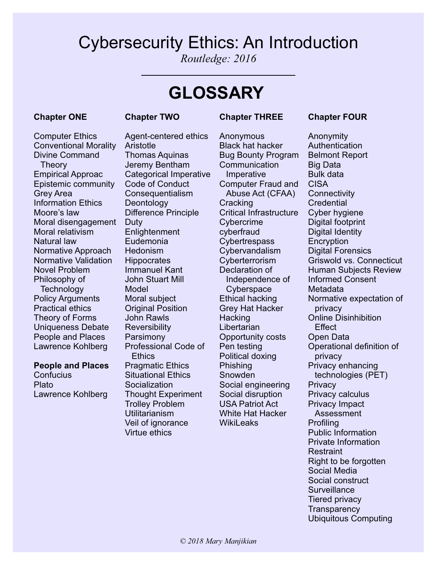# Cybersecurity Ethics: An Introduction

*Routledge: 2016*

# **GLOSSARY**

## **Chapter ONE**

### **Chapter TWO**

### **Chapter THREE**

## **Chapter FOUR**

Anonymity

Moral disengagement Duty Computer Ethics Conventional Morality Divine Command **Theory** Empirical Approac Epistemic community Grey Area Information Ethics Moore's law Moral relativism Natural law Normative Approach Normative Validation Novel Problem Philosophy of **Technology** Policy Arguments

Practical ethics Theory of Forms Uniqueness Debate People and Places Lawrence Kohlberg

#### **People and Places**

**Confucius** Plato Lawrence Kohlberg Agent-centered ethics **Aristotle** Thomas Aquinas Jeremy Bentham Categorical Imperative Code of Conduct **Consequentialism** Deontology Difference Principle **Enlightenment** Eudemonia **Hedonism Hippocrates** Immanuel Kant John Stuart Mill Model Moral subject Original Position John Rawls **Reversibility** Parsimony Professional Code of **Ethics** Pragmatic Ethics Situational Ethics **Socialization** Thought Experiment Trolley Problem Utilitarianism Veil of ignorance Virtue ethics

Anonymous Black hat hacker Bug Bounty Program **Communication** Imperative Computer Fraud and Abuse Act (CFAA) Cracking Critical Infrastructure Cybercrime cyberfraud **Cybertrespass Cybervandalism Cyberterrorism** Declaration of Independence of **Cyberspace** Ethical hacking Grey Hat Hacker **Hacking Libertarian** Opportunity costs Pen testing Political doxing Phishing Snowden Social engineering Social disruption USA Patriot Act White Hat Hacker **WikiLeaks** 

**Authentication** Belmont Report Big Data Bulk data CISA **Connectivity Credential** Cyber hygiene Digital footprint Digital Identity **Encryption** Digital Forensics Griswold vs. Connecticut Human Subjects Review Informed Consent Metadata Normative expectation of privacy Online Disinhibition **Fffect** Open Data Operational definition of privacy Privacy enhancing technologies (PET) **Privacy** Privacy calculus Privacy Impact Assessment **Profiling** Public Information Private Information **Restraint** Right to be forgotten Social Media Social construct **Surveillance** Tiered privacy **Transparency** Ubiquitous Computing